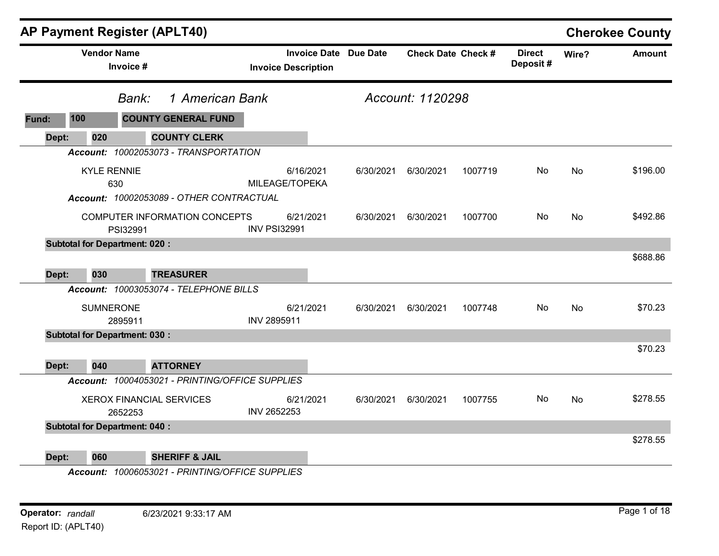|       | AP Payment Register (APLT40)         |           |                                                 |                            |           |                              |                           |         |                           |           | <b>Cherokee County</b> |
|-------|--------------------------------------|-----------|-------------------------------------------------|----------------------------|-----------|------------------------------|---------------------------|---------|---------------------------|-----------|------------------------|
|       | <b>Vendor Name</b>                   | Invoice # |                                                 | <b>Invoice Description</b> |           | <b>Invoice Date Due Date</b> | <b>Check Date Check #</b> |         | <b>Direct</b><br>Deposit# | Wire?     | <b>Amount</b>          |
|       |                                      | Bank:     | 1 American Bank                                 |                            |           |                              | Account: 1120298          |         |                           |           |                        |
| Fund: | 100                                  |           | <b>COUNTY GENERAL FUND</b>                      |                            |           |                              |                           |         |                           |           |                        |
| Dept: | 020                                  |           | <b>COUNTY CLERK</b>                             |                            |           |                              |                           |         |                           |           |                        |
|       |                                      |           | Account: 10002053073 - TRANSPORTATION           |                            |           |                              |                           |         |                           |           |                        |
|       | <b>KYLE RENNIE</b>                   | 630       | Account: 10002053089 - OTHER CONTRACTUAL        | MILEAGE/TOPEKA             | 6/16/2021 | 6/30/2021                    | 6/30/2021                 | 1007719 | No                        | <b>No</b> | \$196.00               |
|       |                                      | PSI32991  | COMPUTER INFORMATION CONCEPTS                   | <b>INV PSI32991</b>        | 6/21/2021 | 6/30/2021                    | 6/30/2021                 | 1007700 | No.                       | No        | \$492.86               |
|       | <b>Subtotal for Department: 020:</b> |           |                                                 |                            |           |                              |                           |         |                           |           |                        |
| Dept: | 030                                  |           | <b>TREASURER</b>                                |                            |           |                              |                           |         |                           |           | \$688.86               |
|       |                                      |           | Account: 10003053074 - TELEPHONE BILLS          |                            |           |                              |                           |         |                           |           |                        |
|       | <b>SUMNERONE</b>                     | 2895911   |                                                 | INV 2895911                | 6/21/2021 | 6/30/2021                    | 6/30/2021                 | 1007748 | No.                       | <b>No</b> | \$70.23                |
|       | <b>Subtotal for Department: 030:</b> |           |                                                 |                            |           |                              |                           |         |                           |           |                        |
| Dept: | 040                                  |           | <b>ATTORNEY</b>                                 |                            |           |                              |                           |         |                           |           | \$70.23                |
|       |                                      |           | Account: 10004053021 - PRINTING/OFFICE SUPPLIES |                            |           |                              |                           |         |                           |           |                        |
|       |                                      | 2652253   | <b>XEROX FINANCIAL SERVICES</b>                 | INV 2652253                | 6/21/2021 | 6/30/2021                    | 6/30/2021                 | 1007755 | No.                       | No        | \$278.55               |
|       | <b>Subtotal for Department: 040:</b> |           |                                                 |                            |           |                              |                           |         |                           |           |                        |
| Dept: | 060                                  |           | <b>SHERIFF &amp; JAIL</b>                       |                            |           |                              |                           |         |                           |           | \$278.55               |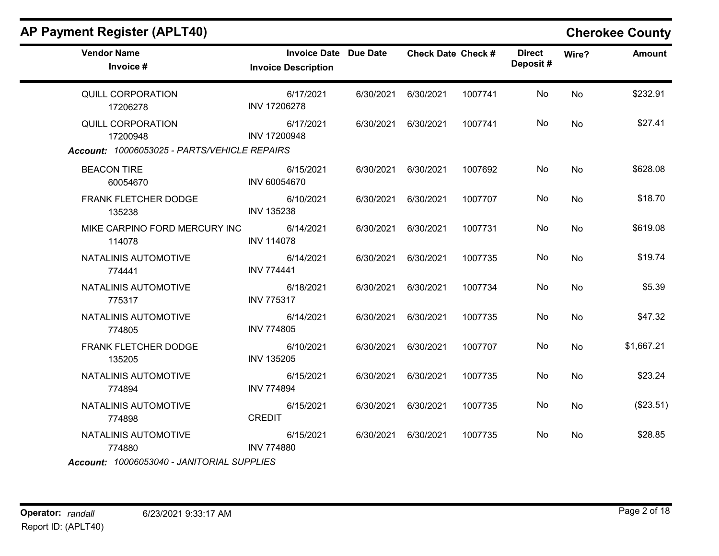| <b>Vendor Name</b><br>Invoice #                                                      | <b>Invoice Date Due Date</b><br><b>Invoice Description</b> |           | <b>Check Date Check #</b> |         | <b>Direct</b><br>Deposit# | Wire?     | <b>Amount</b> |
|--------------------------------------------------------------------------------------|------------------------------------------------------------|-----------|---------------------------|---------|---------------------------|-----------|---------------|
| QUILL CORPORATION<br>17206278                                                        | 6/17/2021<br>INV 17206278                                  | 6/30/2021 | 6/30/2021                 | 1007741 | No                        | No        | \$232.91      |
| <b>QUILL CORPORATION</b><br>17200948<br>Account: 10006053025 - PARTS/VEHICLE REPAIRS | 6/17/2021<br>INV 17200948                                  | 6/30/2021 | 6/30/2021                 | 1007741 | No                        | No        | \$27.41       |
| <b>BEACON TIRE</b><br>60054670                                                       | 6/15/2021<br>INV 60054670                                  | 6/30/2021 | 6/30/2021                 | 1007692 | No                        | No        | \$628.08      |
| FRANK FLETCHER DODGE<br>135238                                                       | 6/10/2021<br><b>INV 135238</b>                             | 6/30/2021 | 6/30/2021                 | 1007707 | No                        | No        | \$18.70       |
| MIKE CARPINO FORD MERCURY INC<br>114078                                              | 6/14/2021<br><b>INV 114078</b>                             | 6/30/2021 | 6/30/2021                 | 1007731 | No                        | No        | \$619.08      |
| NATALINIS AUTOMOTIVE<br>774441                                                       | 6/14/2021<br><b>INV 774441</b>                             | 6/30/2021 | 6/30/2021                 | 1007735 | No                        | <b>No</b> | \$19.74       |
| NATALINIS AUTOMOTIVE<br>775317                                                       | 6/18/2021<br><b>INV 775317</b>                             | 6/30/2021 | 6/30/2021                 | 1007734 | No                        | <b>No</b> | \$5.39        |
| NATALINIS AUTOMOTIVE<br>774805                                                       | 6/14/2021<br><b>INV 774805</b>                             | 6/30/2021 | 6/30/2021                 | 1007735 | No                        | No        | \$47.32       |
| FRANK FLETCHER DODGE<br>135205                                                       | 6/10/2021<br><b>INV 135205</b>                             | 6/30/2021 | 6/30/2021                 | 1007707 | No                        | No        | \$1,667.21    |
| NATALINIS AUTOMOTIVE<br>774894                                                       | 6/15/2021<br><b>INV 774894</b>                             | 6/30/2021 | 6/30/2021                 | 1007735 | No                        | <b>No</b> | \$23.24       |
| NATALINIS AUTOMOTIVE<br>774898                                                       | 6/15/2021<br><b>CREDIT</b>                                 | 6/30/2021 | 6/30/2021                 | 1007735 | No                        | No        | (\$23.51)     |
| NATALINIS AUTOMOTIVE<br>774880<br>Account: 10006053040 - JANITORIAL SUPPLIES         | 6/15/2021<br><b>INV 774880</b>                             | 6/30/2021 | 6/30/2021                 | 1007735 | No                        | No        | \$28.85       |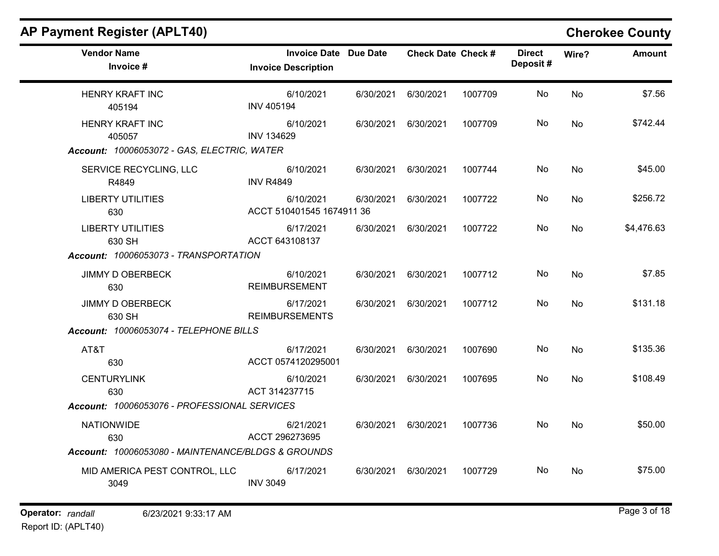| <b>AP Payment Register (APLT40)</b>                |                                                            |           |                           |         |                           |           | <b>Cherokee County</b> |
|----------------------------------------------------|------------------------------------------------------------|-----------|---------------------------|---------|---------------------------|-----------|------------------------|
| <b>Vendor Name</b><br>Invoice #                    | <b>Invoice Date Due Date</b><br><b>Invoice Description</b> |           | <b>Check Date Check #</b> |         | <b>Direct</b><br>Deposit# | Wire?     | <b>Amount</b>          |
| <b>HENRY KRAFT INC</b><br>405194                   | 6/10/2021<br><b>INV 405194</b>                             | 6/30/2021 | 6/30/2021                 | 1007709 | No                        | No        | \$7.56                 |
| <b>HENRY KRAFT INC</b><br>405057                   | 6/10/2021<br><b>INV 134629</b>                             | 6/30/2021 | 6/30/2021                 | 1007709 | No                        | No        | \$742.44               |
| Account: 10006053072 - GAS, ELECTRIC, WATER        |                                                            |           |                           |         |                           |           |                        |
| SERVICE RECYCLING, LLC<br>R4849                    | 6/10/2021<br><b>INV R4849</b>                              | 6/30/2021 | 6/30/2021                 | 1007744 | No.                       | No        | \$45.00                |
| <b>LIBERTY UTILITIES</b><br>630                    | 6/10/2021<br>ACCT 510401545 1674911 36                     | 6/30/2021 | 6/30/2021                 | 1007722 | No                        | No        | \$256.72               |
| <b>LIBERTY UTILITIES</b><br>630 SH                 | 6/17/2021<br>ACCT 643108137                                | 6/30/2021 | 6/30/2021                 | 1007722 | No                        | No        | \$4,476.63             |
| Account: 10006053073 - TRANSPORTATION              |                                                            |           |                           |         |                           |           |                        |
| <b>JIMMY D OBERBECK</b><br>630                     | 6/10/2021<br><b>REIMBURSEMENT</b>                          | 6/30/2021 | 6/30/2021                 | 1007712 | No                        | No        | \$7.85                 |
| <b>JIMMY D OBERBECK</b><br>630 SH                  | 6/17/2021<br><b>REIMBURSEMENTS</b>                         | 6/30/2021 | 6/30/2021                 | 1007712 | No                        | No        | \$131.18               |
| Account: 10006053074 - TELEPHONE BILLS             |                                                            |           |                           |         |                           |           |                        |
| AT&T<br>630                                        | 6/17/2021<br>ACCT 0574120295001                            | 6/30/2021 | 6/30/2021                 | 1007690 | No                        | <b>No</b> | \$135.36               |
| <b>CENTURYLINK</b><br>630                          | 6/10/2021<br>ACT 314237715                                 | 6/30/2021 | 6/30/2021                 | 1007695 | No.                       | <b>No</b> | \$108.49               |
| Account: 10006053076 - PROFESSIONAL SERVICES       |                                                            |           |                           |         |                           |           |                        |
| <b>NATIONWIDE</b><br>630                           | 6/21/2021<br>ACCT 296273695                                | 6/30/2021 | 6/30/2021                 | 1007736 | No                        | No        | \$50.00                |
| Account: 10006053080 - MAINTENANCE/BLDGS & GROUNDS |                                                            |           |                           |         |                           |           |                        |
| MID AMERICA PEST CONTROL, LLC<br>3049              | 6/17/2021<br><b>INV 3049</b>                               | 6/30/2021 | 6/30/2021                 | 1007729 | No.                       | No        | \$75.00                |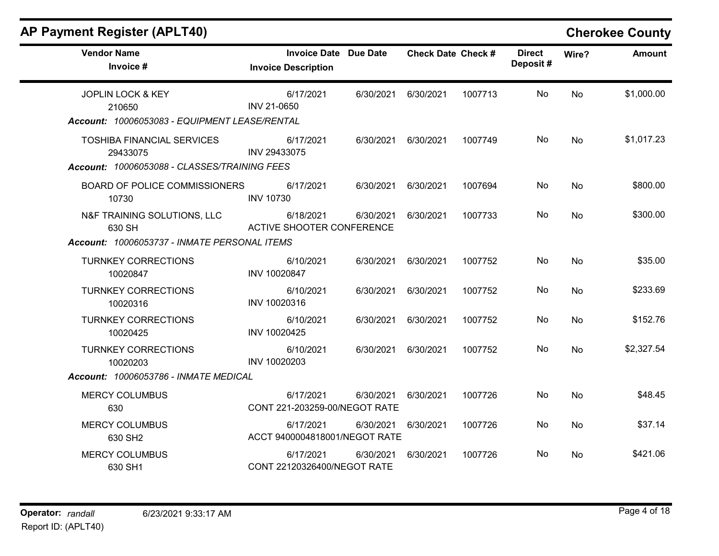|  | <b>AP Payment Register (APLT40)</b> |  |
|--|-------------------------------------|--|
|  |                                     |  |

# **Cherokee County**

| <b>Vendor Name</b><br>Invoice #                                                               | <b>Invoice Date Due Date</b><br><b>Invoice Description</b> |           | <b>Check Date Check #</b> |         | <b>Direct</b><br>Deposit# | Wire?     | <b>Amount</b> |
|-----------------------------------------------------------------------------------------------|------------------------------------------------------------|-----------|---------------------------|---------|---------------------------|-----------|---------------|
| <b>JOPLIN LOCK &amp; KEY</b><br>210650<br>Account: 10006053083 - EQUIPMENT LEASE/RENTAL       | 6/17/2021<br>INV 21-0650                                   | 6/30/2021 | 6/30/2021                 | 1007713 | No                        | <b>No</b> | \$1,000.00    |
| <b>TOSHIBA FINANCIAL SERVICES</b><br>29433075<br>Account: 10006053088 - CLASSES/TRAINING FEES | 6/17/2021<br>INV 29433075                                  | 6/30/2021 | 6/30/2021                 | 1007749 | No                        | <b>No</b> | \$1,017.23    |
| BOARD OF POLICE COMMISSIONERS<br>10730                                                        | 6/17/2021<br><b>INV 10730</b>                              | 6/30/2021 | 6/30/2021                 | 1007694 | No                        | <b>No</b> | \$800.00      |
| N&F TRAINING SOLUTIONS, LLC<br>630 SH                                                         | 6/18/2021<br><b>ACTIVE SHOOTER CONFERENCE</b>              | 6/30/2021 | 6/30/2021                 | 1007733 | No                        | No        | \$300.00      |
| Account: 10006053737 - INMATE PERSONAL ITEMS                                                  |                                                            |           |                           |         |                           |           |               |
| <b>TURNKEY CORRECTIONS</b><br>10020847                                                        | 6/10/2021<br>INV 10020847                                  | 6/30/2021 | 6/30/2021                 | 1007752 | No                        | <b>No</b> | \$35.00       |
| <b>TURNKEY CORRECTIONS</b><br>10020316                                                        | 6/10/2021<br>INV 10020316                                  | 6/30/2021 | 6/30/2021                 | 1007752 | No                        | No        | \$233.69      |
| <b>TURNKEY CORRECTIONS</b><br>10020425                                                        | 6/10/2021<br>INV 10020425                                  | 6/30/2021 | 6/30/2021                 | 1007752 | No                        | <b>No</b> | \$152.76      |
| <b>TURNKEY CORRECTIONS</b><br>10020203                                                        | 6/10/2021<br>INV 10020203                                  | 6/30/2021 | 6/30/2021                 | 1007752 | No.                       | <b>No</b> | \$2,327.54    |
| Account: 10006053786 - INMATE MEDICAL                                                         |                                                            |           |                           |         |                           |           |               |
| <b>MERCY COLUMBUS</b><br>630                                                                  | 6/17/2021<br>CONT 221-203259-00/NEGOT RATE                 | 6/30/2021 | 6/30/2021                 | 1007726 | No                        | <b>No</b> | \$48.45       |
| <b>MERCY COLUMBUS</b><br>630 SH <sub>2</sub>                                                  | 6/17/2021<br>ACCT 9400004818001/NEGOT RATE                 | 6/30/2021 | 6/30/2021                 | 1007726 | No                        | <b>No</b> | \$37.14       |
| <b>MERCY COLUMBUS</b><br>630 SH1                                                              | 6/17/2021<br>CONT 22120326400/NEGOT RATE                   | 6/30/2021 | 6/30/2021                 | 1007726 | No                        | No.       | \$421.06      |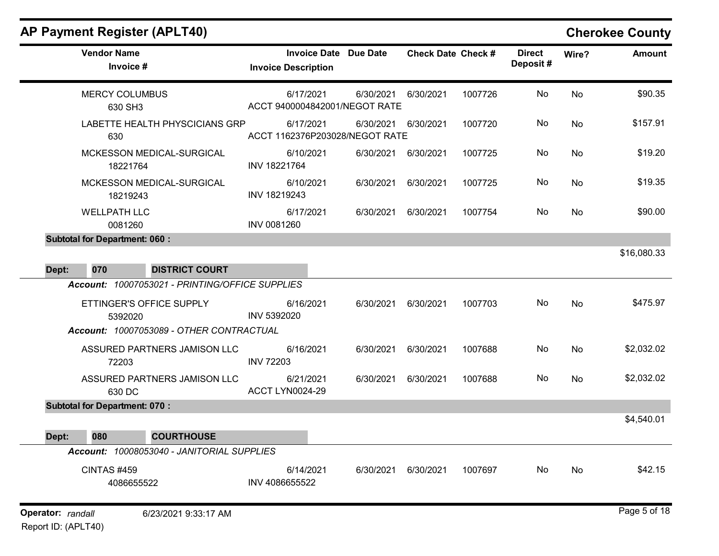| <b>Vendor Name</b><br>Invoice #      |                                                 | <b>Invoice Description</b>    | <b>Invoice Date Due Date</b>                |           | <b>Check Date Check #</b> | <b>Direct</b><br>Deposit# | Wire?     | <b>Amount</b> |
|--------------------------------------|-------------------------------------------------|-------------------------------|---------------------------------------------|-----------|---------------------------|---------------------------|-----------|---------------|
| <b>MERCY COLUMBUS</b><br>630 SH3     |                                                 | 6/17/2021                     | 6/30/2021<br>ACCT 9400004842001/NEGOT RATE  | 6/30/2021 | 1007726                   | No                        | No        | \$90.35       |
| 630                                  | LABETTE HEALTH PHYSCICIANS GRP                  | 6/17/2021                     | 6/30/2021<br>ACCT 1162376P203028/NEGOT RATE | 6/30/2021 | 1007720                   | No                        | No        | \$157.91      |
| 18221764                             | MCKESSON MEDICAL-SURGICAL                       | 6/10/2021<br>INV 18221764     | 6/30/2021                                   | 6/30/2021 | 1007725                   | No.                       | No        | \$19.20       |
| 18219243                             | MCKESSON MEDICAL-SURGICAL                       | 6/10/2021<br>INV 18219243     | 6/30/2021                                   | 6/30/2021 | 1007725                   | No                        | No        | \$19.35       |
| <b>WELLPATH LLC</b><br>0081260       |                                                 | 6/17/2021<br>INV 0081260      | 6/30/2021                                   | 6/30/2021 | 1007754                   | No                        | No        | \$90.00       |
| <b>Subtotal for Department: 060:</b> |                                                 |                               |                                             |           |                           |                           |           |               |
|                                      |                                                 |                               |                                             |           |                           |                           |           | \$16,080.33   |
| 070<br>Dept:                         | <b>DISTRICT COURT</b>                           |                               |                                             |           |                           |                           |           |               |
|                                      | Account: 10007053021 - PRINTING/OFFICE SUPPLIES |                               |                                             |           |                           |                           |           |               |
| 5392020                              | ETTINGER'S OFFICE SUPPLY                        | 6/16/2021<br>INV 5392020      | 6/30/2021                                   | 6/30/2021 | 1007703                   | No                        | No        | \$475.97      |
|                                      | Account: 10007053089 - OTHER CONTRACTUAL        |                               |                                             |           |                           |                           |           |               |
| 72203                                | ASSURED PARTNERS JAMISON LLC                    | 6/16/2021<br><b>INV 72203</b> | 6/30/2021                                   | 6/30/2021 | 1007688                   | No                        | <b>No</b> | \$2,032.02    |
| 630 DC                               | ASSURED PARTNERS JAMISON LLC                    | 6/21/2021<br>ACCT LYN0024-29  | 6/30/2021                                   | 6/30/2021 | 1007688                   | No                        | No        | \$2,032.02    |
| <b>Subtotal for Department: 070:</b> |                                                 |                               |                                             |           |                           |                           |           |               |
|                                      |                                                 |                               |                                             |           |                           |                           |           | \$4,540.01    |
| 080<br>Dept:                         | <b>COURTHOUSE</b>                               |                               |                                             |           |                           |                           |           |               |
|                                      | Account: 10008053040 - JANITORIAL SUPPLIES      |                               |                                             |           |                           |                           |           |               |
| <b>CINTAS #459</b><br>4086655522     |                                                 | 6/14/2021<br>INV 4086655522   | 6/30/2021                                   | 6/30/2021 | 1007697                   | No                        | <b>No</b> | \$42.15       |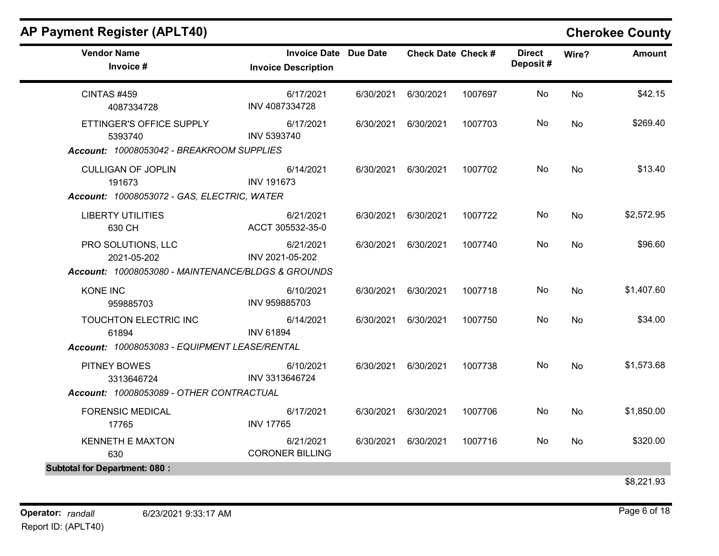## Vendor Name **Invoice Date Due Date** Check Date Check Date Check Date Check Date Check Date Check Date Check Date Invoice # **Check Date Check #** Invoice Description Direct Wire? Amount Deposit # CINTAS #459 4087334728 6/17/2021 6/30/2021 6/30/2021 1007697 No \$42.15 INV 4087334728 No ETTINGER'S OFFICE SUPPLY 5393740 6/17/2021 6/30/2021 6/30/2021 1007703 No \$269.40 INV 5393740 No Account: 10008053042 - BREAKROOM SUPPLIES CULLIGAN OF JOPLIN 191673 6/14/2021 6/30/2021 6/30/2021 1007702 No \$13.40 INV 191673 No Account: 10008053072 - GAS, ELECTRIC, WATER LIBERTY UTILITIES 630 CH 6/21/2021 6/30/2021 6/30/2021 1007722 No \$2,572.95 ACCT 305532-35-0 No PRO SOLUTIONS, LLC 2021-05-202 6/21/2021 6/30/2021 6/30/2021 1007740 No \$96.60 INV 2021-05-202 No Account: 10008053080 - MAINTENANCE/BLDGS & GROUNDS KONE INC 959885703 6/10/2021 6/30/2021 6/30/2021 1007718 No \$1,407.60 INV 959885703 No TOUCHTON ELECTRIC INC 61894 6/14/2021 6/30/2021 6/30/2021 1007750 No \$34.00 INV 61894 No Account: 10008053083 - EQUIPMENT LEASE/RENTAL PITNEY BOWES 3313646724 6/10/2021 6/30/2021 6/30/2021 1007738 No \$1,573.68 INV 3313646724 No Account: 10008053089 - OTHER CONTRACTUAL FORENSIC MEDICAL 17765 6/17/2021 6/30/2021 6/30/2021 1007706 No \$1,850.00 INV 17765 No KENNETH E MAXTON 630 6/21/2021 6/30/2021 6/30/2021 1007716 No \$320.00 CORONER BILLING No Subtotal for Department: 080 :

## AP Payment Register (APLT40) Cherokee County

\$8,221.93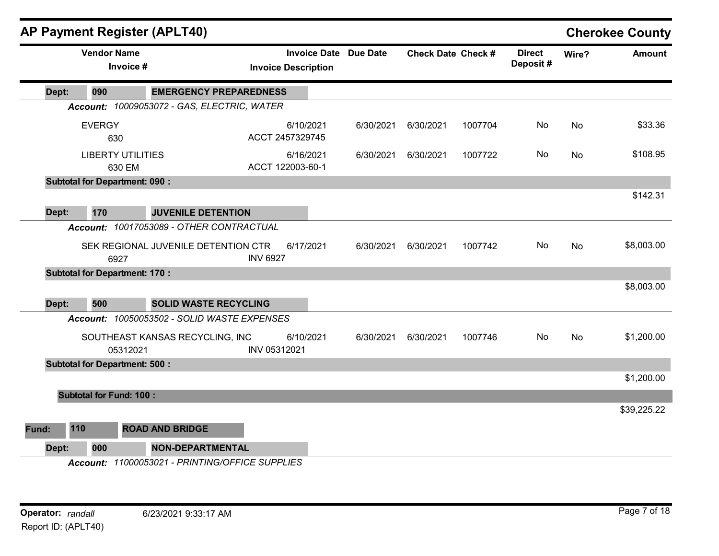| <b>AP Payment Register (APLT40)</b>  |                                    |                                                 |                  |                                                   |                 |                           |         |                           |           | <b>Cherokee County</b> |
|--------------------------------------|------------------------------------|-------------------------------------------------|------------------|---------------------------------------------------|-----------------|---------------------------|---------|---------------------------|-----------|------------------------|
|                                      | <b>Vendor Name</b><br>Invoice #    |                                                 |                  | <b>Invoice Date</b><br><b>Invoice Description</b> | <b>Due Date</b> | <b>Check Date Check #</b> |         | <b>Direct</b><br>Deposit# | Wire?     | <b>Amount</b>          |
| 090<br>Dept:                         |                                    | <b>EMERGENCY PREPAREDNESS</b>                   |                  |                                                   |                 |                           |         |                           |           |                        |
|                                      |                                    | Account: 10009053072 - GAS, ELECTRIC, WATER     |                  |                                                   |                 |                           |         |                           |           |                        |
| <b>EVERGY</b>                        | 630                                |                                                 | ACCT 2457329745  | 6/10/2021                                         | 6/30/2021       | 6/30/2021                 | 1007704 | No                        | <b>No</b> | \$33.36                |
|                                      | <b>LIBERTY UTILITIES</b><br>630 EM |                                                 | ACCT 122003-60-1 | 6/16/2021                                         | 6/30/2021       | 6/30/2021                 | 1007722 | No                        | No        | \$108.95               |
| <b>Subtotal for Department: 090:</b> |                                    |                                                 |                  |                                                   |                 |                           |         |                           |           |                        |
| Dept:<br>170                         |                                    | <b>JUVENILE DETENTION</b>                       |                  |                                                   |                 |                           |         |                           |           | \$142.31               |
|                                      |                                    | Account: 10017053089 - OTHER CONTRACTUAL        |                  |                                                   |                 |                           |         |                           |           |                        |
|                                      |                                    |                                                 |                  |                                                   |                 |                           |         |                           |           |                        |
|                                      | 6927                               | SEK REGIONAL JUVENILE DETENTION CTR             | <b>INV 6927</b>  | 6/17/2021                                         | 6/30/2021       | 6/30/2021                 | 1007742 | No                        | No        | \$8,003.00             |
| <b>Subtotal for Department: 170:</b> |                                    |                                                 |                  |                                                   |                 |                           |         |                           |           |                        |
|                                      |                                    |                                                 |                  |                                                   |                 |                           |         |                           |           | \$8,003.00             |
| 500<br>Dept:                         |                                    | <b>SOLID WASTE RECYCLING</b>                    |                  |                                                   |                 |                           |         |                           |           |                        |
|                                      |                                    | Account: 10050053502 - SOLID WASTE EXPENSES     |                  |                                                   |                 |                           |         |                           |           |                        |
|                                      | 05312021                           | SOUTHEAST KANSAS RECYCLING, INC                 | INV 05312021     | 6/10/2021                                         | 6/30/2021       | 6/30/2021                 | 1007746 | No                        | No        | \$1,200.00             |
| <b>Subtotal for Department: 500:</b> |                                    |                                                 |                  |                                                   |                 |                           |         |                           |           |                        |
|                                      |                                    |                                                 |                  |                                                   |                 |                           |         |                           |           | \$1,200.00             |
|                                      | <b>Subtotal for Fund: 100:</b>     |                                                 |                  |                                                   |                 |                           |         |                           |           | \$39,225.22            |
| 110<br>Fund:                         |                                    | <b>ROAD AND BRIDGE</b>                          |                  |                                                   |                 |                           |         |                           |           |                        |
| 000<br>Dept:                         |                                    | <b>NON-DEPARTMENTAL</b>                         |                  |                                                   |                 |                           |         |                           |           |                        |
|                                      |                                    | Account: 11000053021 - PRINTING/OFFICE SUPPLIES |                  |                                                   |                 |                           |         |                           |           |                        |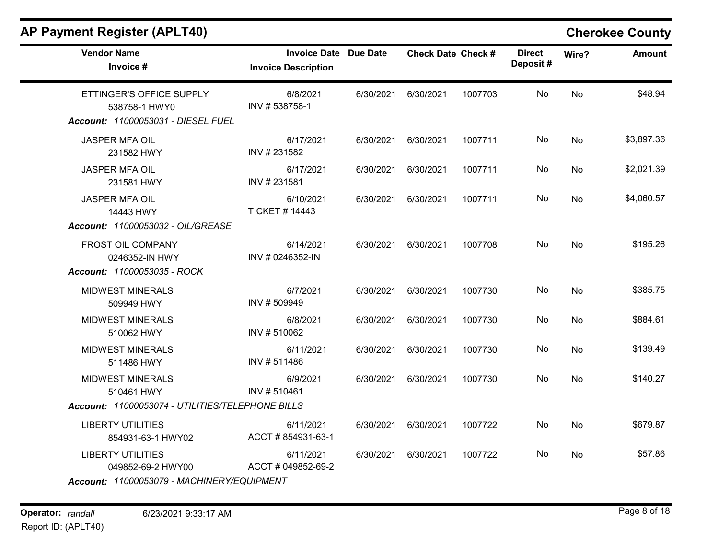# **Cherokee County**

| <b>Vendor Name</b><br>Invoice #                                                             | <b>Invoice Date Due Date</b><br><b>Invoice Description</b> |           | <b>Check Date Check #</b> |         | <b>Direct</b><br>Deposit# | Wire?     | <b>Amount</b> |
|---------------------------------------------------------------------------------------------|------------------------------------------------------------|-----------|---------------------------|---------|---------------------------|-----------|---------------|
| ETTINGER'S OFFICE SUPPLY<br>538758-1 HWY0<br>Account: 11000053031 - DIESEL FUEL             | 6/8/2021<br>INV #538758-1                                  | 6/30/2021 | 6/30/2021                 | 1007703 | No                        | No        | \$48.94       |
| <b>JASPER MFA OIL</b><br>231582 HWY                                                         | 6/17/2021<br>INV # 231582                                  | 6/30/2021 | 6/30/2021                 | 1007711 | No                        | <b>No</b> | \$3,897.36    |
| <b>JASPER MFA OIL</b><br>231581 HWY                                                         | 6/17/2021<br>INV #231581                                   | 6/30/2021 | 6/30/2021                 | 1007711 | No                        | No        | \$2,021.39    |
| <b>JASPER MFA OIL</b><br>14443 HWY<br>Account: 11000053032 - OIL/GREASE                     | 6/10/2021<br><b>TICKET #14443</b>                          | 6/30/2021 | 6/30/2021                 | 1007711 | No                        | No        | \$4,060.57    |
| FROST OIL COMPANY<br>0246352-IN HWY<br>Account: 11000053035 - ROCK                          | 6/14/2021<br>INV # 0246352-IN                              | 6/30/2021 | 6/30/2021                 | 1007708 | No                        | No        | \$195.26      |
| <b>MIDWEST MINERALS</b><br>509949 HWY                                                       | 6/7/2021<br>INV #509949                                    | 6/30/2021 | 6/30/2021                 | 1007730 | No                        | No        | \$385.75      |
| <b>MIDWEST MINERALS</b><br>510062 HWY                                                       | 6/8/2021<br>INV #510062                                    | 6/30/2021 | 6/30/2021                 | 1007730 | No                        | No        | \$884.61      |
| <b>MIDWEST MINERALS</b><br>511486 HWY                                                       | 6/11/2021<br>INV #511486                                   | 6/30/2021 | 6/30/2021                 | 1007730 | No                        | No        | \$139.49      |
| <b>MIDWEST MINERALS</b><br>510461 HWY                                                       | 6/9/2021<br>INV #510461                                    | 6/30/2021 | 6/30/2021                 | 1007730 | No                        | <b>No</b> | \$140.27      |
| Account: 11000053074 - UTILITIES/TELEPHONE BILLS                                            |                                                            |           |                           |         |                           |           |               |
| <b>LIBERTY UTILITIES</b><br>854931-63-1 HWY02                                               | 6/11/2021<br>ACCT # 854931-63-1                            | 6/30/2021 | 6/30/2021                 | 1007722 | No                        | <b>No</b> | \$679.87      |
| <b>LIBERTY UTILITIES</b><br>049852-69-2 HWY00<br>Account: 11000053079 - MACHINERY/EQUIPMENT | 6/11/2021<br>ACCT # 049852-69-2                            | 6/30/2021 | 6/30/2021                 | 1007722 | No.                       | <b>No</b> | \$57.86       |

Operator: randall 6/23/2021 9:33:17 AM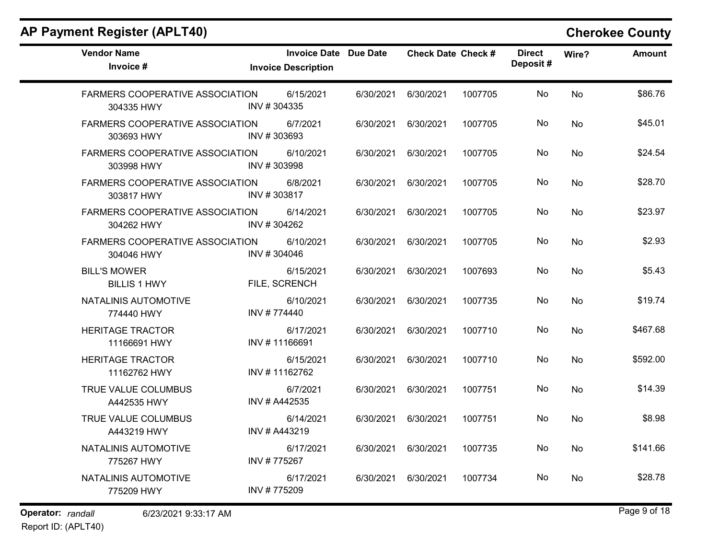| <b>Vendor Name</b><br>Invoice #                      | <b>Invoice Date Due Date</b><br><b>Invoice Description</b> |           | <b>Check Date Check #</b> |         | <b>Direct</b><br>Deposit# | Wire?     | <b>Amount</b> |
|------------------------------------------------------|------------------------------------------------------------|-----------|---------------------------|---------|---------------------------|-----------|---------------|
| <b>FARMERS COOPERATIVE ASSOCIATION</b><br>304335 HWY | 6/15/2021<br>INV #304335                                   | 6/30/2021 | 6/30/2021                 | 1007705 | No                        | <b>No</b> | \$86.76       |
| <b>FARMERS COOPERATIVE ASSOCIATION</b><br>303693 HWY | 6/7/2021<br>INV #303693                                    | 6/30/2021 | 6/30/2021                 | 1007705 | No                        | <b>No</b> | \$45.01       |
| <b>FARMERS COOPERATIVE ASSOCIATION</b><br>303998 HWY | 6/10/2021<br>INV #303998                                   | 6/30/2021 | 6/30/2021                 | 1007705 | No                        | No        | \$24.54       |
| <b>FARMERS COOPERATIVE ASSOCIATION</b><br>303817 HWY | 6/8/2021<br>INV #303817                                    | 6/30/2021 | 6/30/2021                 | 1007705 | No                        | No        | \$28.70       |
| FARMERS COOPERATIVE ASSOCIATION<br>304262 HWY        | 6/14/2021<br>INV #304262                                   | 6/30/2021 | 6/30/2021                 | 1007705 | No                        | No        | \$23.97       |
| <b>FARMERS COOPERATIVE ASSOCIATION</b><br>304046 HWY | 6/10/2021<br>INV #304046                                   | 6/30/2021 | 6/30/2021                 | 1007705 | No                        | No        | \$2.93        |
| <b>BILL'S MOWER</b><br><b>BILLIS 1 HWY</b>           | 6/15/2021<br>FILE, SCRENCH                                 | 6/30/2021 | 6/30/2021                 | 1007693 | No                        | No        | \$5.43        |
| NATALINIS AUTOMOTIVE<br>774440 HWY                   | 6/10/2021<br>INV #774440                                   | 6/30/2021 | 6/30/2021                 | 1007735 | No                        | <b>No</b> | \$19.74       |
| <b>HERITAGE TRACTOR</b><br>11166691 HWY              | 6/17/2021<br>INV #11166691                                 | 6/30/2021 | 6/30/2021                 | 1007710 | No                        | No        | \$467.68      |
| <b>HERITAGE TRACTOR</b><br>11162762 HWY              | 6/15/2021<br>INV #11162762                                 | 6/30/2021 | 6/30/2021                 | 1007710 | No                        | No        | \$592.00      |
| TRUE VALUE COLUMBUS<br>A442535 HWY                   | 6/7/2021<br>INV # A442535                                  | 6/30/2021 | 6/30/2021                 | 1007751 | No                        | No        | \$14.39       |
| TRUE VALUE COLUMBUS<br>A443219 HWY                   | 6/14/2021<br>INV # A443219                                 | 6/30/2021 | 6/30/2021                 | 1007751 | No                        | No        | \$8.98        |
| NATALINIS AUTOMOTIVE<br>775267 HWY                   | 6/17/2021<br>INV #775267                                   | 6/30/2021 | 6/30/2021                 | 1007735 | No                        | <b>No</b> | \$141.66      |
| NATALINIS AUTOMOTIVE<br>775209 HWY                   | 6/17/2021<br>INV #775209                                   | 6/30/2021 | 6/30/2021                 | 1007734 | No.                       | <b>No</b> | \$28.78       |

Operator: randall 6/23/2021 9:33:17 AM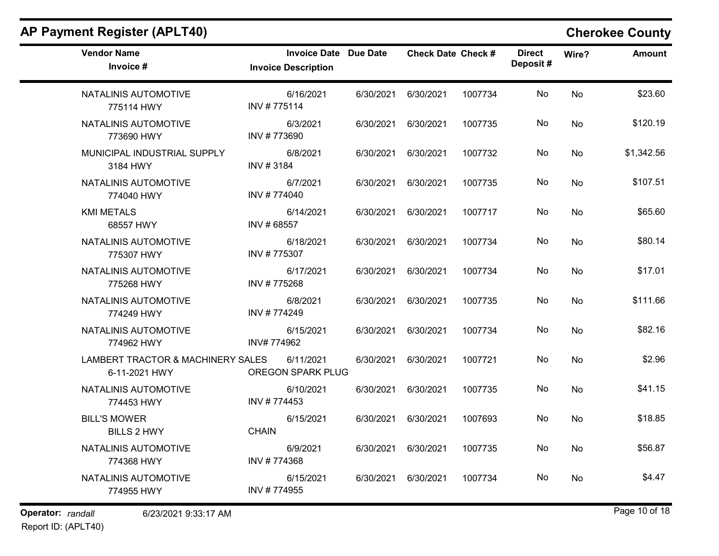| <b>Vendor Name</b><br>Invoice #                    | <b>Invoice Date Due Date</b><br><b>Invoice Description</b> |           | <b>Check Date Check #</b> |         | <b>Direct</b><br>Deposit# | Wire?     | <b>Amount</b> |
|----------------------------------------------------|------------------------------------------------------------|-----------|---------------------------|---------|---------------------------|-----------|---------------|
| NATALINIS AUTOMOTIVE<br>775114 HWY                 | 6/16/2021<br>INV #775114                                   | 6/30/2021 | 6/30/2021                 | 1007734 | No                        | <b>No</b> | \$23.60       |
| NATALINIS AUTOMOTIVE<br>773690 HWY                 | 6/3/2021<br>INV #773690                                    | 6/30/2021 | 6/30/2021                 | 1007735 | No                        | No        | \$120.19      |
| MUNICIPAL INDUSTRIAL SUPPLY<br>3184 HWY            | 6/8/2021<br>INV #3184                                      | 6/30/2021 | 6/30/2021                 | 1007732 | No                        | No        | \$1,342.56    |
| NATALINIS AUTOMOTIVE<br>774040 HWY                 | 6/7/2021<br>INV #774040                                    | 6/30/2021 | 6/30/2021                 | 1007735 | No                        | <b>No</b> | \$107.51      |
| <b>KMI METALS</b><br>68557 HWY                     | 6/14/2021<br>INV #68557                                    | 6/30/2021 | 6/30/2021                 | 1007717 | No.                       | No        | \$65.60       |
| NATALINIS AUTOMOTIVE<br>775307 HWY                 | 6/18/2021<br>INV #775307                                   | 6/30/2021 | 6/30/2021                 | 1007734 | No                        | <b>No</b> | \$80.14       |
| NATALINIS AUTOMOTIVE<br>775268 HWY                 | 6/17/2021<br>INV #775268                                   | 6/30/2021 | 6/30/2021                 | 1007734 | No                        | <b>No</b> | \$17.01       |
| NATALINIS AUTOMOTIVE<br>774249 HWY                 | 6/8/2021<br>INV #774249                                    | 6/30/2021 | 6/30/2021                 | 1007735 | No                        | <b>No</b> | \$111.66      |
| NATALINIS AUTOMOTIVE<br>774962 HWY                 | 6/15/2021<br>INV#774962                                    | 6/30/2021 | 6/30/2021                 | 1007734 | No                        | <b>No</b> | \$82.16       |
| LAMBERT TRACTOR & MACHINERY SALES<br>6-11-2021 HWY | 6/11/2021<br><b>OREGON SPARK PLUG</b>                      | 6/30/2021 | 6/30/2021                 | 1007721 | No.                       | No        | \$2.96        |
| NATALINIS AUTOMOTIVE<br>774453 HWY                 | 6/10/2021<br>INV #774453                                   | 6/30/2021 | 6/30/2021                 | 1007735 | No                        | <b>No</b> | \$41.15       |
| <b>BILL'S MOWER</b><br><b>BILLS 2 HWY</b>          | 6/15/2021<br><b>CHAIN</b>                                  | 6/30/2021 | 6/30/2021                 | 1007693 | No                        | <b>No</b> | \$18.85       |
| NATALINIS AUTOMOTIVE<br>774368 HWY                 | 6/9/2021<br>INV #774368                                    | 6/30/2021 | 6/30/2021                 | 1007735 | No                        | <b>No</b> | \$56.87       |
| NATALINIS AUTOMOTIVE<br>774955 HWY                 | 6/15/2021<br>INV #774955                                   | 6/30/2021 | 6/30/2021                 | 1007734 | No.                       | No        | \$4.47        |
|                                                    |                                                            |           |                           |         |                           |           |               |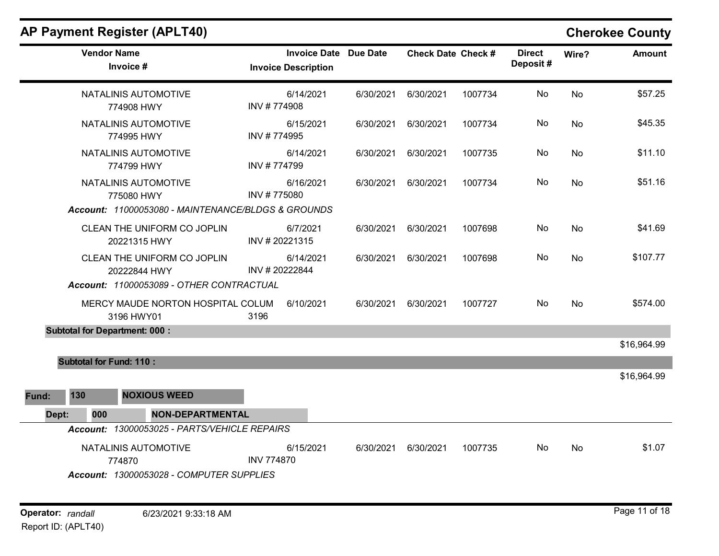| <b>AP Payment Register (APLT40)</b>                                        |                                                            |           |                           |         |                           |           | <b>Cherokee County</b> |
|----------------------------------------------------------------------------|------------------------------------------------------------|-----------|---------------------------|---------|---------------------------|-----------|------------------------|
| <b>Vendor Name</b><br>Invoice #                                            | <b>Invoice Date Due Date</b><br><b>Invoice Description</b> |           | <b>Check Date Check #</b> |         | <b>Direct</b><br>Deposit# | Wire?     | <b>Amount</b>          |
| NATALINIS AUTOMOTIVE<br>774908 HWY                                         | 6/14/2021<br>INV #774908                                   | 6/30/2021 | 6/30/2021                 | 1007734 | No                        | <b>No</b> | \$57.25                |
| NATALINIS AUTOMOTIVE<br>774995 HWY                                         | 6/15/2021<br>INV #774995                                   | 6/30/2021 | 6/30/2021                 | 1007734 | No                        | <b>No</b> | \$45.35                |
| NATALINIS AUTOMOTIVE<br>774799 HWY                                         | 6/14/2021<br>INV #774799                                   | 6/30/2021 | 6/30/2021                 | 1007735 | No                        | No        | \$11.10                |
| NATALINIS AUTOMOTIVE<br>775080 HWY                                         | 6/16/2021<br>INV #775080                                   | 6/30/2021 | 6/30/2021                 | 1007734 | No                        | No.       | \$51.16                |
| Account: 11000053080 - MAINTENANCE/BLDGS & GROUNDS                         |                                                            |           |                           |         |                           |           |                        |
| CLEAN THE UNIFORM CO JOPLIN<br>20221315 HWY                                | 6/7/2021<br>INV #20221315                                  | 6/30/2021 | 6/30/2021                 | 1007698 | No                        | No        | \$41.69                |
| CLEAN THE UNIFORM CO JOPLIN<br>20222844 HWY                                | 6/14/2021<br>INV #20222844                                 | 6/30/2021 | 6/30/2021                 | 1007698 | No                        | <b>No</b> | \$107.77               |
| Account: 11000053089 - OTHER CONTRACTUAL                                   |                                                            |           |                           |         |                           |           |                        |
| MERCY MAUDE NORTON HOSPITAL COLUM<br>3196 HWY01                            | 6/10/2021<br>3196                                          | 6/30/2021 | 6/30/2021                 | 1007727 | No                        | <b>No</b> | \$574.00               |
| <b>Subtotal for Department: 000:</b>                                       |                                                            |           |                           |         |                           |           |                        |
|                                                                            |                                                            |           |                           |         |                           |           | \$16,964.99            |
| <b>Subtotal for Fund: 110:</b>                                             |                                                            |           |                           |         |                           |           |                        |
|                                                                            |                                                            |           |                           |         |                           |           | \$16,964.99            |
| <b>NOXIOUS WEED</b><br>130<br>Fund:                                        |                                                            |           |                           |         |                           |           |                        |
| <b>NON-DEPARTMENTAL</b><br>Dept:<br>000                                    |                                                            |           |                           |         |                           |           |                        |
| Account: 13000053025 - PARTS/VEHICLE REPAIRS                               |                                                            |           |                           |         |                           |           |                        |
| NATALINIS AUTOMOTIVE<br>774870<br>Account: 13000053028 - COMPUTER SUPPLIES | 6/15/2021<br><b>INV 774870</b>                             | 6/30/2021 | 6/30/2021                 | 1007735 | No                        | No        | \$1.07                 |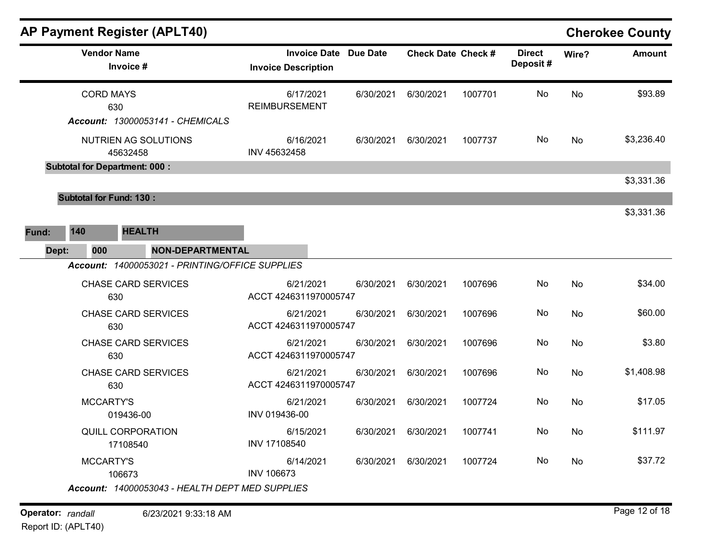|       |                                      | <b>AP Payment Register (APLT40)</b>             |                                    |                              |                           |         |                           |           | <b>Cherokee County</b> |
|-------|--------------------------------------|-------------------------------------------------|------------------------------------|------------------------------|---------------------------|---------|---------------------------|-----------|------------------------|
|       | <b>Vendor Name</b>                   | Invoice #                                       | <b>Invoice Description</b>         | <b>Invoice Date Due Date</b> | <b>Check Date Check #</b> |         | <b>Direct</b><br>Deposit# | Wire?     | <b>Amount</b>          |
|       | <b>CORD MAYS</b><br>630              | Account: 13000053141 - CHEMICALS                | 6/17/2021<br><b>REIMBURSEMENT</b>  | 6/30/2021                    | 6/30/2021                 | 1007701 | No                        | No        | \$93.89                |
|       |                                      | NUTRIEN AG SOLUTIONS<br>45632458                | 6/16/2021<br>INV 45632458          | 6/30/2021                    | 6/30/2021                 | 1007737 | No.                       | No        | \$3,236.40             |
|       | <b>Subtotal for Department: 000:</b> |                                                 |                                    |                              |                           |         |                           |           | \$3,331.36             |
|       | <b>Subtotal for Fund: 130:</b>       |                                                 |                                    |                              |                           |         |                           |           | \$3,331.36             |
| Fund: | 140                                  | <b>HEALTH</b>                                   |                                    |                              |                           |         |                           |           |                        |
| Dept: | 000                                  | <b>NON-DEPARTMENTAL</b>                         |                                    |                              |                           |         |                           |           |                        |
|       |                                      | Account: 14000053021 - PRINTING/OFFICE SUPPLIES |                                    |                              |                           |         |                           |           |                        |
|       | 630                                  | <b>CHASE CARD SERVICES</b>                      | 6/21/2021<br>ACCT 4246311970005747 | 6/30/2021                    | 6/30/2021                 | 1007696 | No.                       | <b>No</b> | \$34.00                |
|       | 630                                  | <b>CHASE CARD SERVICES</b>                      | 6/21/2021<br>ACCT 4246311970005747 | 6/30/2021                    | 6/30/2021                 | 1007696 | No                        | No        | \$60.00                |
|       | 630                                  | <b>CHASE CARD SERVICES</b>                      | 6/21/2021<br>ACCT 4246311970005747 | 6/30/2021                    | 6/30/2021                 | 1007696 | No                        | No        | \$3.80                 |
|       | 630                                  | <b>CHASE CARD SERVICES</b>                      | 6/21/2021<br>ACCT 4246311970005747 | 6/30/2021                    | 6/30/2021                 | 1007696 | No                        | No        | \$1,408.98             |
|       | <b>MCCARTY'S</b>                     | 019436-00                                       | 6/21/2021<br>INV 019436-00         | 6/30/2021                    | 6/30/2021                 | 1007724 | No                        | No        | \$17.05                |
|       |                                      | <b>QUILL CORPORATION</b><br>17108540            | 6/15/2021<br>INV 17108540          | 6/30/2021                    | 6/30/2021                 | 1007741 | No                        | No        | \$111.97               |
|       | MCCARTY'S                            | 106673                                          | 6/14/2021<br><b>INV 106673</b>     | 6/30/2021                    | 6/30/2021                 | 1007724 | No.                       | No        | \$37.72                |
|       |                                      | Account: 14000053043 - HEALTH DEPT MED SUPPLIES |                                    |                              |                           |         |                           |           |                        |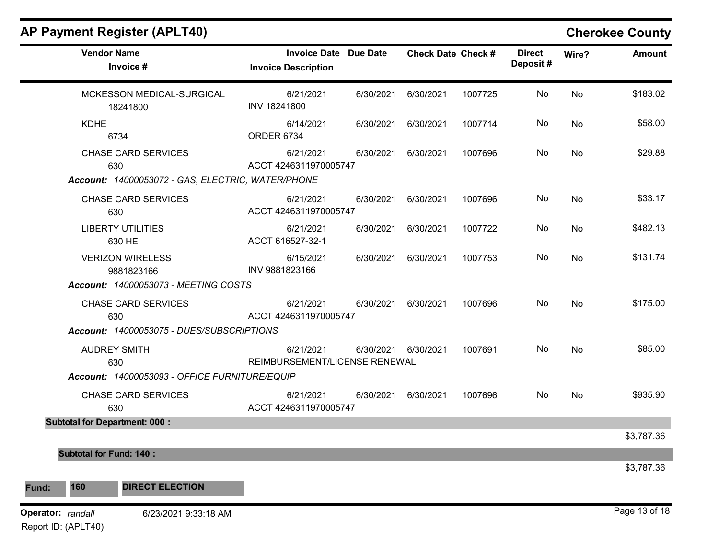## AP Payment Register (APLT40) Cherokee County Vendor Name **Invoice Date Due Date** Check Date Check Date Check Date Check Date Check Date Check Date Check Date Invoice # **Check Date Check #** Invoice Description Direct Wire? Amount Deposit # MCKESSON MEDICAL-SURGICAL 18241800 6/21/2021 6/30/2021 6/30/2021 1007725 No \$183.02 INV 18241800 No KDHE 6734 6/14/2021 6/30/2021 6/30/2021 1007714 No \$58.00 ORDER 6734 No CHASE CARD SERVICES 630 6/21/2021 6/30/2021 6/30/2021 1007696 No \$29.88 ACCT 4246311970005747 No Account: 14000053072 - GAS, ELECTRIC, WATER/PHONE CHASE CARD SERVICES 630 6/21/2021 6/30/2021 6/30/2021 1007696 No \$33.17 ACCT 4246311970005747 No LIBERTY UTILITIES 630 HE 6/21/2021 6/30/2021 6/30/2021 1007722 No \$482.13 ACCT 616527-32-1 No VERIZON WIRELESS 9881823166 6/15/2021 6/30/2021 6/30/2021 1007753 No \$131.74 INV 9881823166 No Account: 14000053073 - MEETING COSTS CHASE CARD SERVICES 630 6/21/2021 6/30/2021 6/30/2021 1007696 No \$175.00 ACCT 4246311970005747 No Account: 14000053075 - DUES/SUBSCRIPTIONS AUDREY SMITH 630 6/21/2021 6/30/2021 6/30/2021 1007691 No \$85.00 REIMBURSEMENT/LICENSE RENEWAL No Account: 14000053093 - OFFICE FURNITURE/EQUIP CHASE CARD SERVICES 630 6/21/2021 6/30/2021 6/30/2021 1007696 No \$935.90 ACCT 4246311970005747 No Subtotal for Department: 000 : \$3,787.36 Subtotal for Fund: 140 : \$3,787.36 Fund: 160 DIRECT ELECTION **Operator:** randall 6/23/2021 9:33:18 AM **COPER 12 RAND 120 RAND 120 RAND 13 OF 18 RAND 13 of 18**

Report ID: (APLT40)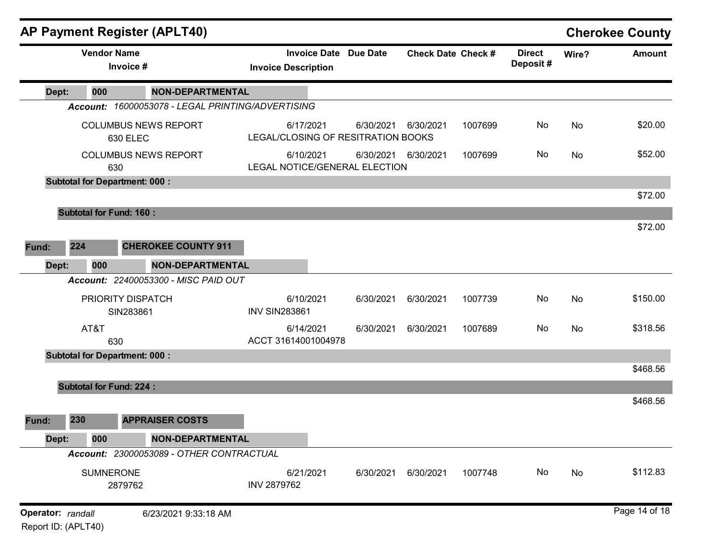|                                          |     |                    |                                      | <b>AP Payment Register (APLT40)</b>               |                                                 |                              |                           |         |                           |       | <b>Cherokee County</b> |
|------------------------------------------|-----|--------------------|--------------------------------------|---------------------------------------------------|-------------------------------------------------|------------------------------|---------------------------|---------|---------------------------|-------|------------------------|
|                                          |     | <b>Vendor Name</b> | Invoice #                            |                                                   | <b>Invoice Description</b>                      | <b>Invoice Date Due Date</b> | <b>Check Date Check #</b> |         | <b>Direct</b><br>Deposit# | Wire? | <b>Amount</b>          |
| Dept:                                    |     | 000                |                                      | <b>NON-DEPARTMENTAL</b>                           |                                                 |                              |                           |         |                           |       |                        |
|                                          |     |                    |                                      | Account: 16000053078 - LEGAL PRINTING/ADVERTISING |                                                 |                              |                           |         |                           |       |                        |
|                                          |     |                    | 630 ELEC                             | <b>COLUMBUS NEWS REPORT</b>                       | 6/17/2021<br>LEGAL/CLOSING OF RESITRATION BOOKS | 6/30/2021                    | 6/30/2021                 | 1007699 | No                        | No    | \$20.00                |
|                                          |     |                    | 630                                  | <b>COLUMBUS NEWS REPORT</b>                       | 6/10/2021<br>LEGAL NOTICE/GENERAL ELECTION      | 6/30/2021                    | 6/30/2021                 | 1007699 | No                        | No    | \$52.00                |
|                                          |     |                    | <b>Subtotal for Department: 000:</b> |                                                   |                                                 |                              |                           |         |                           |       | \$72.00                |
|                                          |     |                    | <b>Subtotal for Fund: 160:</b>       |                                                   |                                                 |                              |                           |         |                           |       |                        |
| Fund:                                    | 224 |                    |                                      | <b>CHEROKEE COUNTY 911</b>                        |                                                 |                              |                           |         |                           |       | \$72.00                |
| Dept:                                    |     | 000                |                                      | <b>NON-DEPARTMENTAL</b>                           |                                                 |                              |                           |         |                           |       |                        |
|                                          |     |                    |                                      | Account: 22400053300 - MISC PAID OUT              |                                                 |                              |                           |         |                           |       |                        |
|                                          |     |                    | PRIORITY DISPATCH<br>SIN283861       |                                                   | 6/10/2021<br><b>INV SIN283861</b>               | 6/30/2021                    | 6/30/2021                 | 1007739 | No                        | No    | \$150.00               |
|                                          |     | AT&T               | 630                                  |                                                   | 6/14/2021<br>ACCT 31614001004978                | 6/30/2021                    | 6/30/2021                 | 1007689 | No                        | No    | \$318.56               |
|                                          |     |                    | <b>Subtotal for Department: 000:</b> |                                                   |                                                 |                              |                           |         |                           |       |                        |
|                                          |     |                    |                                      |                                                   |                                                 |                              |                           |         |                           |       | \$468.56               |
|                                          |     |                    | <b>Subtotal for Fund: 224:</b>       |                                                   |                                                 |                              |                           |         |                           |       | \$468.56               |
| Fund:                                    | 230 |                    |                                      | <b>APPRAISER COSTS</b>                            |                                                 |                              |                           |         |                           |       |                        |
| Dept:                                    |     | 000                |                                      | <b>NON-DEPARTMENTAL</b>                           |                                                 |                              |                           |         |                           |       |                        |
|                                          |     |                    |                                      | Account: 23000053089 - OTHER CONTRACTUAL          |                                                 |                              |                           |         |                           |       |                        |
|                                          |     | <b>SUMNERONE</b>   | 2879762                              |                                                   | 6/21/2021<br><b>INV 2879762</b>                 | 6/30/2021                    | 6/30/2021                 | 1007748 | No                        | No    | \$112.83               |
| Operator: randall<br>Report ID: (APLT40) |     |                    |                                      | 6/23/2021 9:33:18 AM                              |                                                 |                              |                           |         |                           |       | Page 14 of 18          |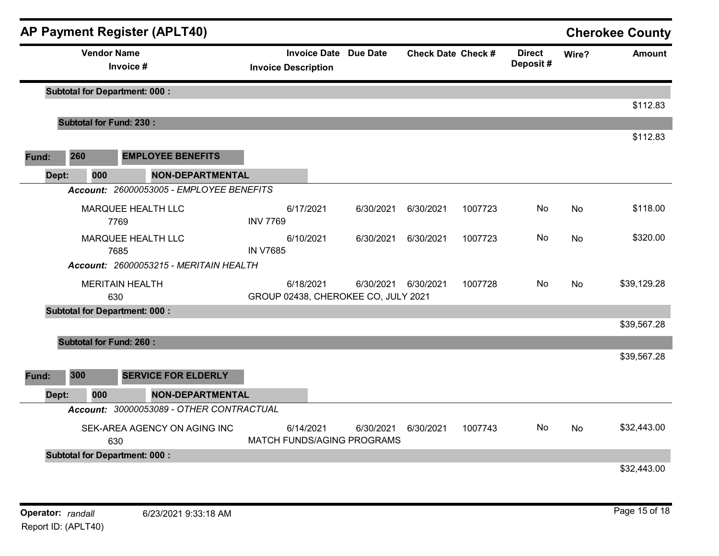|       |       |                                | <b>AP Payment Register (APLT40)</b>                                 |                            |           |                                                  |                           |         |                           |           | <b>Cherokee County</b> |
|-------|-------|--------------------------------|---------------------------------------------------------------------|----------------------------|-----------|--------------------------------------------------|---------------------------|---------|---------------------------|-----------|------------------------|
|       |       | <b>Vendor Name</b>             | Invoice #                                                           | <b>Invoice Description</b> |           | <b>Invoice Date Due Date</b>                     | <b>Check Date Check #</b> |         | <b>Direct</b><br>Deposit# | Wire?     | <b>Amount</b>          |
|       |       |                                | <b>Subtotal for Department: 000:</b>                                |                            |           |                                                  |                           |         |                           |           |                        |
|       |       | <b>Subtotal for Fund: 230:</b> |                                                                     |                            |           |                                                  |                           |         |                           |           | \$112.83               |
|       |       |                                |                                                                     |                            |           |                                                  |                           |         |                           |           | \$112.83               |
| Fund: | 260   |                                | <b>EMPLOYEE BENEFITS</b>                                            |                            |           |                                                  |                           |         |                           |           |                        |
|       | Dept: | 000                            | <b>NON-DEPARTMENTAL</b>                                             |                            |           |                                                  |                           |         |                           |           |                        |
|       |       |                                | Account: 26000053005 - EMPLOYEE BENEFITS                            |                            |           |                                                  |                           |         |                           |           |                        |
|       |       | 7769                           | MARQUEE HEALTH LLC                                                  | <b>INV 7769</b>            | 6/17/2021 | 6/30/2021                                        | 6/30/2021                 | 1007723 | No                        | <b>No</b> | \$118.00               |
|       |       | 7685                           | MARQUEE HEALTH LLC                                                  | <b>IN V7685</b>            | 6/10/2021 | 6/30/2021                                        | 6/30/2021                 | 1007723 | No                        | No        | \$320.00               |
|       |       |                                | Account: 26000053215 - MERITAIN HEALTH                              |                            |           |                                                  |                           |         |                           |           |                        |
|       |       | 630                            | <b>MERITAIN HEALTH</b>                                              |                            | 6/18/2021 | 6/30/2021<br>GROUP 02438, CHEROKEE CO, JULY 2021 | 6/30/2021                 | 1007728 | No.                       | <b>No</b> | \$39,129.28            |
|       |       |                                | <b>Subtotal for Department: 000:</b>                                |                            |           |                                                  |                           |         |                           |           |                        |
|       |       |                                |                                                                     |                            |           |                                                  |                           |         |                           |           | \$39,567.28            |
|       |       | <b>Subtotal for Fund: 260:</b> |                                                                     |                            |           |                                                  |                           |         |                           |           |                        |
|       | 300   |                                | <b>SERVICE FOR ELDERLY</b>                                          |                            |           |                                                  |                           |         |                           |           | \$39,567.28            |
| Fund: |       |                                |                                                                     |                            |           |                                                  |                           |         |                           |           |                        |
|       | Dept: | 000                            | <b>NON-DEPARTMENTAL</b><br>Account: 30000053089 - OTHER CONTRACTUAL |                            |           |                                                  |                           |         |                           |           |                        |
|       |       |                                |                                                                     |                            |           |                                                  |                           |         |                           |           |                        |
|       |       | 630                            | SEK-AREA AGENCY ON AGING INC                                        |                            | 6/14/2021 | 6/30/2021<br>MATCH FUNDS/AGING PROGRAMS          | 6/30/2021                 | 1007743 | No                        | No        | \$32,443.00            |
|       |       |                                | <b>Subtotal for Department: 000:</b>                                |                            |           |                                                  |                           |         |                           |           |                        |
|       |       |                                |                                                                     |                            |           |                                                  |                           |         |                           |           | \$32,443.00            |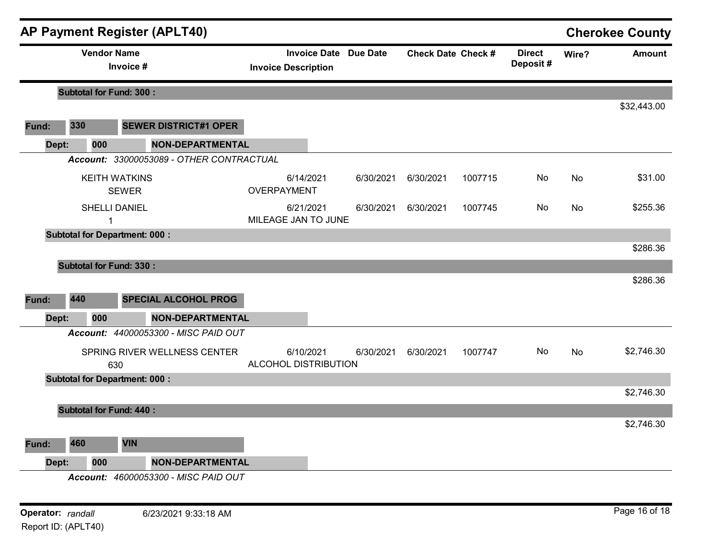|       |                                | <b>AP Payment Register (APLT40)</b>      |                                                            |           |                           |         |                           |           | <b>Cherokee County</b> |
|-------|--------------------------------|------------------------------------------|------------------------------------------------------------|-----------|---------------------------|---------|---------------------------|-----------|------------------------|
|       | <b>Vendor Name</b>             | Invoice #                                | <b>Invoice Date Due Date</b><br><b>Invoice Description</b> |           | <b>Check Date Check #</b> |         | <b>Direct</b><br>Deposit# | Wire?     | <b>Amount</b>          |
|       | <b>Subtotal for Fund: 300:</b> |                                          |                                                            |           |                           |         |                           |           |                        |
|       |                                |                                          |                                                            |           |                           |         |                           |           | \$32,443.00            |
| Fund: | 330                            | <b>SEWER DISTRICT#1 OPER</b>             |                                                            |           |                           |         |                           |           |                        |
| Dept: | 000                            | <b>NON-DEPARTMENTAL</b>                  |                                                            |           |                           |         |                           |           |                        |
|       |                                | Account: 33000053089 - OTHER CONTRACTUAL |                                                            |           |                           |         |                           |           |                        |
|       |                                | <b>KEITH WATKINS</b><br><b>SEWER</b>     | 6/14/2021<br>OVERPAYMENT                                   | 6/30/2021 | 6/30/2021                 | 1007715 | No                        | <b>No</b> | \$31.00                |
|       | 1                              | <b>SHELLI DANIEL</b>                     | 6/21/2021<br>MILEAGE JAN TO JUNE                           | 6/30/2021 | 6/30/2021                 | 1007745 | No                        | No        | \$255.36               |
|       |                                | <b>Subtotal for Department: 000:</b>     |                                                            |           |                           |         |                           |           |                        |
|       |                                |                                          |                                                            |           |                           |         |                           |           | \$286.36               |
|       | <b>Subtotal for Fund: 330:</b> |                                          |                                                            |           |                           |         |                           |           |                        |
|       |                                |                                          |                                                            |           |                           |         |                           |           | \$286.36               |
| Fund: | 440                            | <b>SPECIAL ALCOHOL PROG</b>              |                                                            |           |                           |         |                           |           |                        |
| Dept: | 000                            | <b>NON-DEPARTMENTAL</b>                  |                                                            |           |                           |         |                           |           |                        |
|       |                                | Account: 44000053300 - MISC PAID OUT     |                                                            |           |                           |         |                           |           |                        |
|       |                                | SPRING RIVER WELLNESS CENTER<br>630      | 6/10/2021<br>ALCOHOL DISTRIBUTION                          | 6/30/2021 | 6/30/2021                 | 1007747 | No                        | <b>No</b> | \$2,746.30             |
|       |                                | <b>Subtotal for Department: 000:</b>     |                                                            |           |                           |         |                           |           |                        |
|       |                                |                                          |                                                            |           |                           |         |                           |           | \$2,746.30             |
|       | <b>Subtotal for Fund: 440:</b> |                                          |                                                            |           |                           |         |                           |           |                        |
|       |                                |                                          |                                                            |           |                           |         |                           |           | \$2,746.30             |
| Fund: | 460                            | <b>VIN</b>                               |                                                            |           |                           |         |                           |           |                        |
| Dept: | 000                            | <b>NON-DEPARTMENTAL</b>                  |                                                            |           |                           |         |                           |           |                        |
|       |                                | Account: 46000053300 - MISC PAID OUT     |                                                            |           |                           |         |                           |           |                        |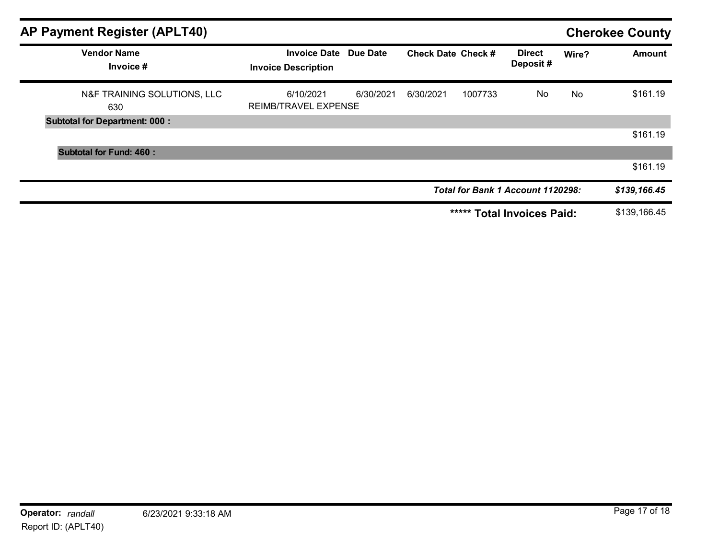| <b>AP Payment Register (APLT40)</b>  |                                                     |           |                           |         |                                          |       | <b>Cherokee County</b> |
|--------------------------------------|-----------------------------------------------------|-----------|---------------------------|---------|------------------------------------------|-------|------------------------|
| <b>Vendor Name</b><br>Invoice #      | Invoice Date Due Date<br><b>Invoice Description</b> |           | <b>Check Date Check #</b> |         | <b>Direct</b><br>Deposit#                | Wire? | Amount                 |
| N&F TRAINING SOLUTIONS, LLC<br>630   | 6/10/2021<br><b>REIMB/TRAVEL EXPENSE</b>            | 6/30/2021 | 6/30/2021                 | 1007733 | No                                       | No    | \$161.19               |
| <b>Subtotal for Department: 000:</b> |                                                     |           |                           |         |                                          |       |                        |
|                                      |                                                     |           |                           |         |                                          |       | \$161.19               |
| <b>Subtotal for Fund: 460:</b>       |                                                     |           |                           |         |                                          |       |                        |
|                                      |                                                     |           |                           |         |                                          |       | \$161.19               |
|                                      |                                                     |           |                           |         | <b>Total for Bank 1 Account 1120298:</b> |       | \$139,166.45           |
|                                      |                                                     |           |                           | *****   | <b>Total Invoices Paid:</b>              |       | \$139,166.45           |